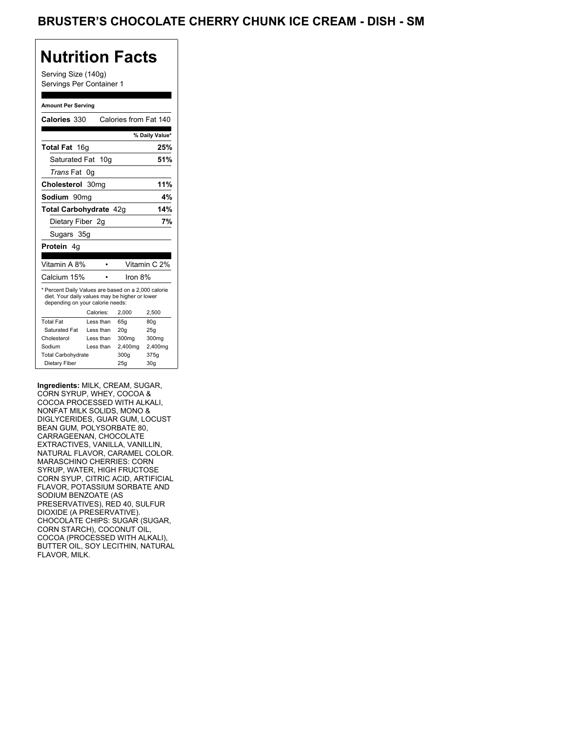Serving Size (140g) Servings Per Container 1

#### **Amount Per Serving**

|                                                                                                                                           |                                                                                                                                   | % Daily Value*                                             |
|-------------------------------------------------------------------------------------------------------------------------------------------|-----------------------------------------------------------------------------------------------------------------------------------|------------------------------------------------------------|
|                                                                                                                                           |                                                                                                                                   | 25%                                                        |
|                                                                                                                                           |                                                                                                                                   | 51%                                                        |
|                                                                                                                                           |                                                                                                                                   |                                                            |
|                                                                                                                                           |                                                                                                                                   | 11%                                                        |
|                                                                                                                                           |                                                                                                                                   | 4%                                                         |
|                                                                                                                                           |                                                                                                                                   | 14%                                                        |
|                                                                                                                                           |                                                                                                                                   | 7%                                                         |
|                                                                                                                                           |                                                                                                                                   |                                                            |
|                                                                                                                                           |                                                                                                                                   |                                                            |
|                                                                                                                                           |                                                                                                                                   | Vitamin C 2%                                               |
|                                                                                                                                           |                                                                                                                                   |                                                            |
| * Percent Daily Values are based on a 2,000 calorie<br>diet. Your daily values may be higher or lower<br>depending on your calorie needs: |                                                                                                                                   |                                                            |
|                                                                                                                                           | 2,000                                                                                                                             | 2,500                                                      |
|                                                                                                                                           |                                                                                                                                   |                                                            |
| Less than                                                                                                                                 | 65q                                                                                                                               | 80g                                                        |
| Less than                                                                                                                                 | 20q                                                                                                                               | 25g                                                        |
| Less than                                                                                                                                 | 300mg                                                                                                                             | 300mg                                                      |
| Less than                                                                                                                                 | 2,400mg                                                                                                                           | 2,400mg                                                    |
| <b>Total Carbohydrate</b>                                                                                                                 | 300q                                                                                                                              | 375g                                                       |
|                                                                                                                                           | <b>Total Fat</b> 16g<br>Saturated Fat 10g<br>0g<br>Cholesterol 30mg<br>Sodium 90mq<br>Dietary Fiber 2g<br>Sugars 35g<br>Calories: | Calories from Fat 140<br>Total Carbohydrate 42g<br>Iron 8% |

**Ingredients:** MILK, CREAM, SUGAR, CORN SYRUP, WHEY, COCOA & COCOA PROCESSED WITH ALKALI, NONFAT MILK SOLIDS, MONO & DIGLYCERIDES, GUAR GUM, LOCUST BEAN GUM, POLYSORBATE 80, CARRAGEENAN, CHOCOLATE EXTRACTIVES, VANILLA, VANILLIN, NATURAL FLAVOR, CARAMEL COLOR. MARASCHINO CHERRIES: CORN SYRUP, WATER, HIGH FRUCTOSE CORN SYUP, CITRIC ACID, ARTIFICIAL FLAVOR, POTASSIUM SORBATE AND SODIUM BENZOATE (AS PRESERVATIVES), RED 40, SULFUR DIOXIDE (A PRESERVATIVE). CHOCOLATE CHIPS: SUGAR (SUGAR, CORN STARCH), COCONUT OIL, COCOA (PROCESSED WITH ALKALI), BUTTER OIL, SOY LECITHIN, NATURAL FLAVOR, MILK.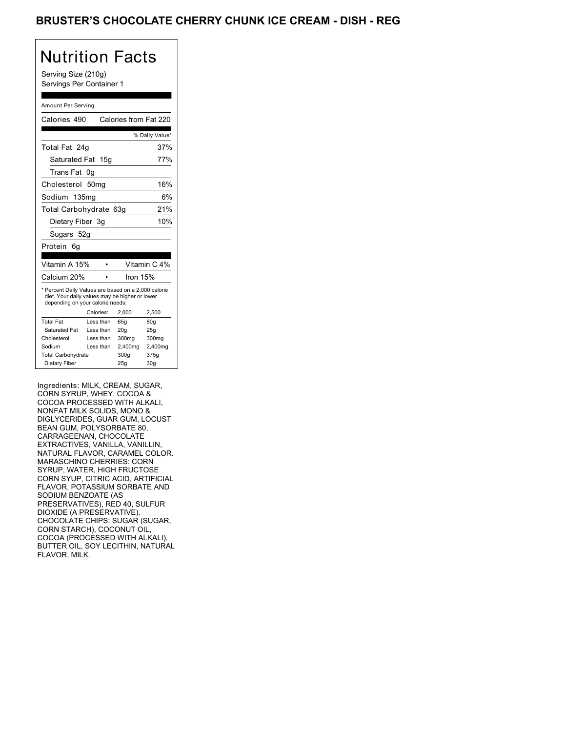### BRUSTER'S CHOCOLATE CHERRY CHUNK ICE CREAM - DISH - REG

# Nutrition Facts

Serving Size (210g) Servings Per Container 1

#### Amount Per Serving

| Calories 490                                                                                                                              |                  | Calories from Fat 220 |                 |
|-------------------------------------------------------------------------------------------------------------------------------------------|------------------|-----------------------|-----------------|
|                                                                                                                                           |                  |                       | % Daily Value*  |
| Total Fat 24g                                                                                                                             |                  |                       | 37%             |
| Saturated Fat 15g                                                                                                                         |                  |                       | 77%             |
| Trans Fat                                                                                                                                 | 0g               |                       |                 |
| Cholesterol                                                                                                                               | 50 <sub>mq</sub> |                       | 16%             |
| Sodium 135mg                                                                                                                              |                  |                       | 6%              |
| Total Carbohydrate 63g                                                                                                                    |                  |                       | 21%             |
| Dietary Fiber 3q                                                                                                                          |                  |                       | 10%             |
| Sugars 52g                                                                                                                                |                  |                       |                 |
| Protein<br>6a                                                                                                                             |                  |                       |                 |
| Vitamin A 15%                                                                                                                             |                  |                       | Vitamin C 4%    |
| Calcium 20%                                                                                                                               |                  | Iron 15%              |                 |
| * Percent Daily Values are based on a 2,000 calorie<br>diet. Your daily values may be higher or lower<br>depending on your calorie needs: |                  |                       |                 |
|                                                                                                                                           | Calories:        | 2.000                 | 2,500           |
| <b>Total Fat</b>                                                                                                                          | Less than        | 65q                   | 80g             |
| Saturated Fat                                                                                                                             | Less than        | 20q                   | 25g             |
| Cholesterol                                                                                                                               | Less than        | 300mg                 | 300mg           |
| Sodium                                                                                                                                    | Less than        | 2,400mg               | 2,400mg         |
| <b>Total Carbohydrate</b>                                                                                                                 |                  | 300q                  | 375g            |
| Dietary Fiber                                                                                                                             |                  | 25g                   | 30 <sub>g</sub> |

Ingredients: MILK, CREAM, SUGAR, CORN SYRUP, WHEY, COCOA & COCOA PROCESSED WITH ALKALI, NONFAT MILK SOLIDS, MONO & DIGLYCERIDES, GUAR GUM, LOCUST BEAN GUM, POLYSORBATE 80, CARRAGEENAN, CHOCOLATE EXTRACTIVES, VANILLA, VANILLIN, NATURAL FLAVOR, CARAMEL COLOR. MARASCHINO CHERRIES: CORN SYRUP, WATER, HIGH FRUCTOSE CORN SYUP, CITRIC ACID, ARTIFICIAL FLAVOR, POTASSIUM SORBATE AND SODIUM BENZOATE (AS PRESERVATIVES), RED 40, SULFUR DIOXIDE (A PRESERVATIVE). CHOCOLATE CHIPS: SUGAR (SUGAR, CORN STARCH), COCONUT OIL, COCOA (PROCESSED WITH ALKALI), BUTTER OIL, SOY LECITHIN, NATURAL FLAVOR, MILK.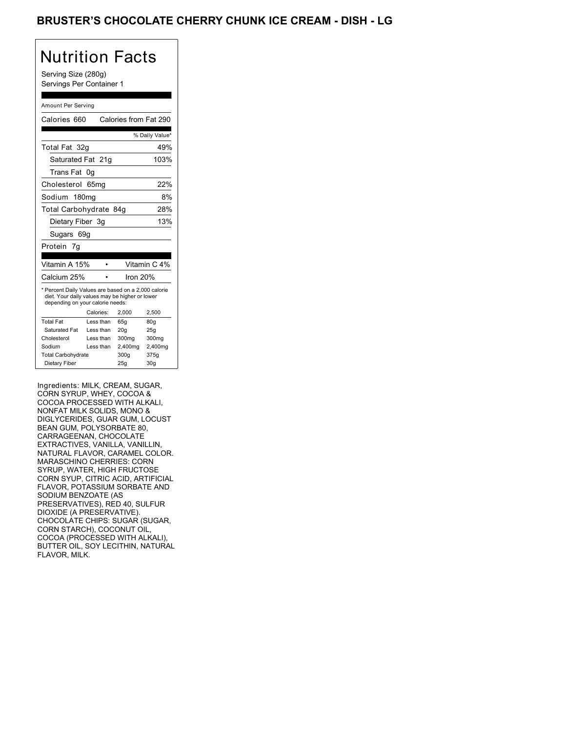### BRUSTER'S CHOCOLATE CHERRY CHUNK ICE CREAM - DISH - LG

# Nutrition Facts

Serving Size (280g) Servings Per Container 1

#### Amount Per Serving

| Calories 660                                                                                                                              |           | Calories from Fat 290 |                |
|-------------------------------------------------------------------------------------------------------------------------------------------|-----------|-----------------------|----------------|
|                                                                                                                                           |           |                       | % Daily Value* |
| Total Fat 32q                                                                                                                             |           |                       | 49%            |
| Saturated Fat 21g                                                                                                                         |           |                       | 103%           |
| Trans Fat                                                                                                                                 | 0g        |                       |                |
| Cholesterol                                                                                                                               | 65mg      |                       | 22%            |
| Sodium 180mg                                                                                                                              |           |                       | 8%             |
| Total Carbohydrate 84g                                                                                                                    |           |                       | 28%            |
| Dietary Fiber 3g                                                                                                                          |           |                       | 13%            |
| Sugars 69g                                                                                                                                |           |                       |                |
| Protein 7g                                                                                                                                |           |                       |                |
|                                                                                                                                           |           |                       |                |
|                                                                                                                                           |           |                       |                |
| Vitamin A 15%                                                                                                                             |           |                       | Vitamin C 4%   |
| Calcium 25%                                                                                                                               |           | Iron $20%$            |                |
| * Percent Daily Values are based on a 2,000 calorie<br>diet. Your daily values may be higher or lower<br>depending on your calorie needs: |           |                       |                |
|                                                                                                                                           | Calories: | 2.000                 | 2,500          |
| <b>Total Fat</b>                                                                                                                          | Less than | 65q                   | 80g            |
| Saturated Fat                                                                                                                             | Less than | 20q                   | 25q            |
| Cholesterol                                                                                                                               | Less than | 300mg                 | 300mg          |
| Sodium                                                                                                                                    | Less than | 2,400mg               | 2,400mg        |
| <b>Total Carbohydrate</b>                                                                                                                 |           | 300q                  | 375g           |

Ingredients: MILK, CREAM, SUGAR, CORN SYRUP, WHEY, COCOA & COCOA PROCESSED WITH ALKALI, NONFAT MILK SOLIDS, MONO & DIGLYCERIDES, GUAR GUM, LOCUST BEAN GUM, POLYSORBATE 80, CARRAGEENAN, CHOCOLATE EXTRACTIVES, VANILLA, VANILLIN, NATURAL FLAVOR, CARAMEL COLOR. MARASCHINO CHERRIES: CORN SYRUP, WATER, HIGH FRUCTOSE CORN SYUP, CITRIC ACID, ARTIFICIAL FLAVOR, POTASSIUM SORBATE AND SODIUM BENZOATE (AS PRESERVATIVES), RED 40, SULFUR DIOXIDE (A PRESERVATIVE). CHOCOLATE CHIPS: SUGAR (SUGAR, CORN STARCH), COCONUT OIL, COCOA (PROCESSED WITH ALKALI), BUTTER OIL, SOY LECITHIN, NATURAL FLAVOR, MILK.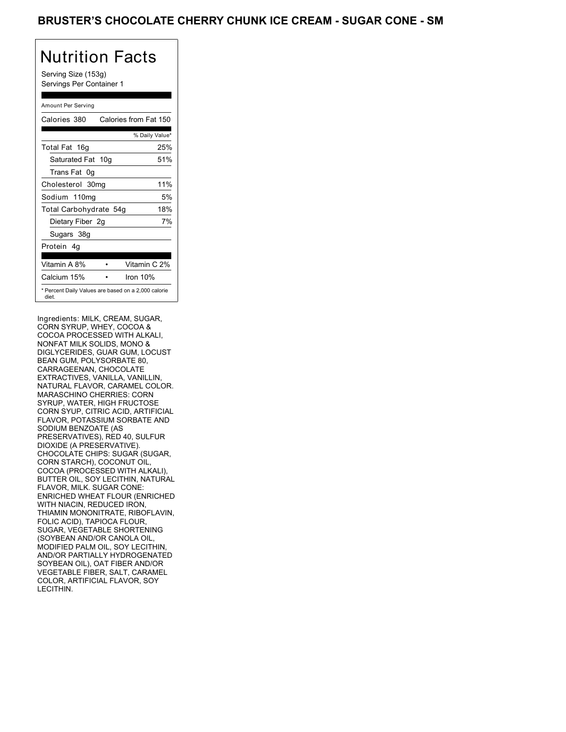Serving Size (153g) Servings Per Container 1

### Amount Per Serving

| Calories 380           | Calories from Fat 150                               |
|------------------------|-----------------------------------------------------|
|                        | % Daily Value*                                      |
| Total Fat 16g          | 25%                                                 |
| Saturated Fat 10g      | 51%                                                 |
| Trans Fat 0q           |                                                     |
| Cholesterol 30mg       | 11%                                                 |
| Sodium 110mg           | 5%                                                  |
| Total Carbohydrate 54g | 18%                                                 |
| Dietary Fiber 2g       | 7%                                                  |
| Sugars 38g             |                                                     |
| Protein 4q             |                                                     |
| Vitamin A 8%           | Vitamin C 2%                                        |
| Calcium 15%            | Iron $10%$                                          |
| diet.                  | * Percent Daily Values are based on a 2,000 calorie |

Ingredients: MILK, CREAM, SUGAR, CORN SYRUP, WHEY, COCOA & COCOA PROCESSED WITH ALKALI, NONFAT MILK SOLIDS, MONO & DIGLYCERIDES, GUAR GUM, LOCUST BEAN GUM, POLYSORBATE 80, CARRAGEENAN, CHOCOLATE EXTRACTIVES, VANILLA, VANILLIN, NATURAL FLAVOR, CARAMEL COLOR. MARASCHINO CHERRIES: CORN SYRUP, WATER, HIGH FRUCTOSE CORN SYUP, CITRIC ACID, ARTIFICIAL FLAVOR, POTASSIUM SORBATE AND SODIUM BENZOATE (AS PRESERVATIVES), RED 40, SULFUR DIOXIDE (A PRESERVATIVE). CHOCOLATE CHIPS: SUGAR (SUGAR, CORN STARCH), COCONUT OIL, COCOA (PROCESSED WITH ALKALI), BUTTER OIL, SOY LECITHIN, NATURAL FLAVOR, MILK. SUGAR CONE: ENRICHED WHEAT FLOUR (ENRICHED WITH NIACIN, REDUCED IRON, THIAMIN MONONITRATE, RIBOFLAVIN, FOLIC ACID), TAPIOCA FLOUR, SUGAR, VEGETABLE SHORTENING (SOYBEAN AND/OR CANOLA OIL, MODIFIED PALM OIL, SOY LECITHIN, AND/OR PARTIALLY HYDROGENATED SOYBEAN OIL), OAT FIBER AND/OR VEGETABLE FIBER, SALT, CARAMEL COLOR, ARTIFICIAL FLAVOR, SOY LECITHIN.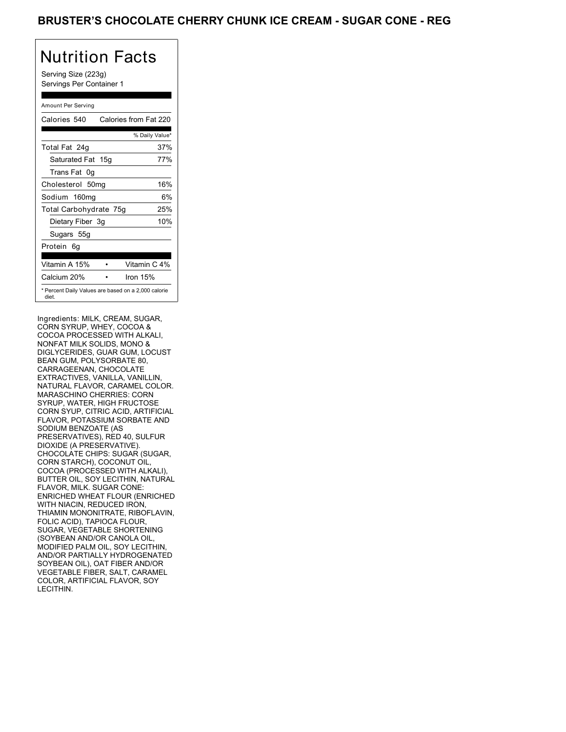Serving Size (223g) Servings Per Container 1

#### Amount Per Serving

| Calories 540           | Calories from Fat 220                               |
|------------------------|-----------------------------------------------------|
|                        | % Daily Value*                                      |
| Total Fat 24g          | 37%                                                 |
| Saturated Fat 15g      | 77%                                                 |
| Trans Fat 0q           |                                                     |
| Cholesterol 50mg       | 16%                                                 |
| Sodium 160mg           | 6%                                                  |
| Total Carbohydrate 75g | 25%                                                 |
| Dietary Fiber 3g       | 10%                                                 |
| Sugars 55g             |                                                     |
| Protein 6q             |                                                     |
| Vitamin A 15%          | Vitamin C 4%                                        |
| Calcium 20%            | Iron 15%                                            |
| diet.                  | * Percent Daily Values are based on a 2,000 calorie |

Ingredients: MILK, CREAM, SUGAR, CORN SYRUP, WHEY, COCOA & COCOA PROCESSED WITH ALKALI, NONFAT MILK SOLIDS, MONO & DIGLYCERIDES, GUAR GUM, LOCUST BEAN GUM, POLYSORBATE 80, CARRAGEENAN, CHOCOLATE EXTRACTIVES, VANILLA, VANILLIN, NATURAL FLAVOR, CARAMEL COLOR. MARASCHINO CHERRIES: CORN SYRUP, WATER, HIGH FRUCTOSE CORN SYUP, CITRIC ACID, ARTIFICIAL FLAVOR, POTASSIUM SORBATE AND SODIUM BENZOATE (AS PRESERVATIVES), RED 40, SULFUR DIOXIDE (A PRESERVATIVE). CHOCOLATE CHIPS: SUGAR (SUGAR, CORN STARCH), COCONUT OIL, COCOA (PROCESSED WITH ALKALI), BUTTER OIL, SOY LECITHIN, NATURAL FLAVOR, MILK. SUGAR CONE: ENRICHED WHEAT FLOUR (ENRICHED WITH NIACIN, REDUCED IRON, THIAMIN MONONITRATE, RIBOFLAVIN, FOLIC ACID), TAPIOCA FLOUR, SUGAR, VEGETABLE SHORTENING (SOYBEAN AND/OR CANOLA OIL, MODIFIED PALM OIL, SOY LECITHIN, AND/OR PARTIALLY HYDROGENATED SOYBEAN OIL), OAT FIBER AND/OR VEGETABLE FIBER, SALT, CARAMEL COLOR, ARTIFICIAL FLAVOR, SOY LECITHIN.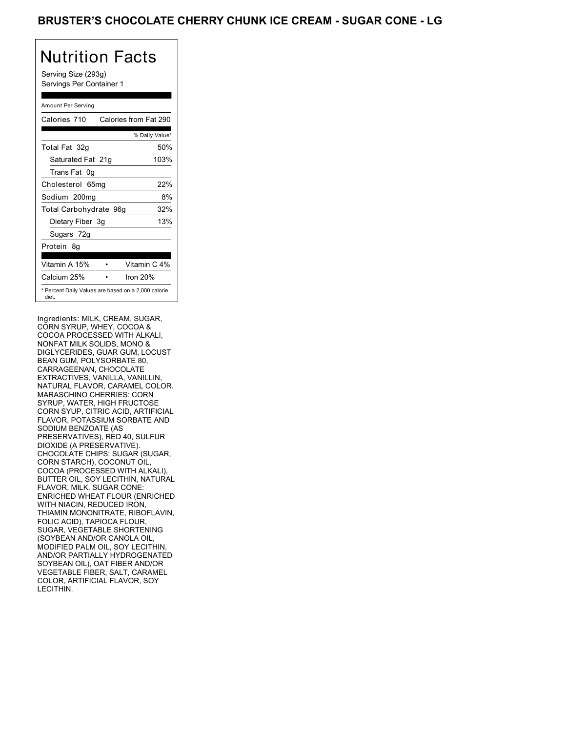Serving Size (293g) Servings Per Container 1

### Amount Per Serving

| Calories 710           | Calories from Fat 290                               |
|------------------------|-----------------------------------------------------|
|                        | % Daily Value*                                      |
| Total Fat 32g          | 50%                                                 |
| Saturated Fat 21g      | 103%                                                |
| Trans Fat 0g           |                                                     |
| Cholesterol 65mg       | 22%                                                 |
| Sodium 200mg           | 8%                                                  |
| Total Carbohydrate 96g | 32%                                                 |
| Dietary Fiber 3g       | 13%                                                 |
| Sugars 72g             |                                                     |
| Protein 8q             |                                                     |
|                        |                                                     |
| Vitamin A 15%          | Vitamin C 4%                                        |
| Calcium 25%            | Iron 20%                                            |
| diet.                  | * Percent Daily Values are based on a 2,000 calorie |

Ingredients: MILK, CREAM, SUGAR, CORN SYRUP, WHEY, COCOA & COCOA PROCESSED WITH ALKALI, NONFAT MILK SOLIDS, MONO & DIGLYCERIDES, GUAR GUM, LOCUST BEAN GUM, POLYSORBATE 80, CARRAGEENAN, CHOCOLATE EXTRACTIVES, VANILLA, VANILLIN, NATURAL FLAVOR, CARAMEL COLOR. MARASCHINO CHERRIES: CORN SYRUP, WATER, HIGH FRUCTOSE CORN SYUP, CITRIC ACID, ARTIFICIAL FLAVOR, POTASSIUM SORBATE AND SODIUM BENZOATE (AS PRESERVATIVES), RED 40, SULFUR DIOXIDE (A PRESERVATIVE). CHOCOLATE CHIPS: SUGAR (SUGAR, CORN STARCH), COCONUT OIL, COCOA (PROCESSED WITH ALKALI), BUTTER OIL, SOY LECITHIN, NATURAL FLAVOR, MILK. SUGAR CONE: ENRICHED WHEAT FLOUR (ENRICHED WITH NIACIN, REDUCED IRON, THIAMIN MONONITRATE, RIBOFLAVIN, FOLIC ACID), TAPIOCA FLOUR, SUGAR, VEGETABLE SHORTENING (SOYBEAN AND/OR CANOLA OIL, MODIFIED PALM OIL, SOY LECITHIN, AND/OR PARTIALLY HYDROGENATED SOYBEAN OIL), OAT FIBER AND/OR VEGETABLE FIBER, SALT, CARAMEL COLOR, ARTIFICIAL FLAVOR, SOY LECITHIN.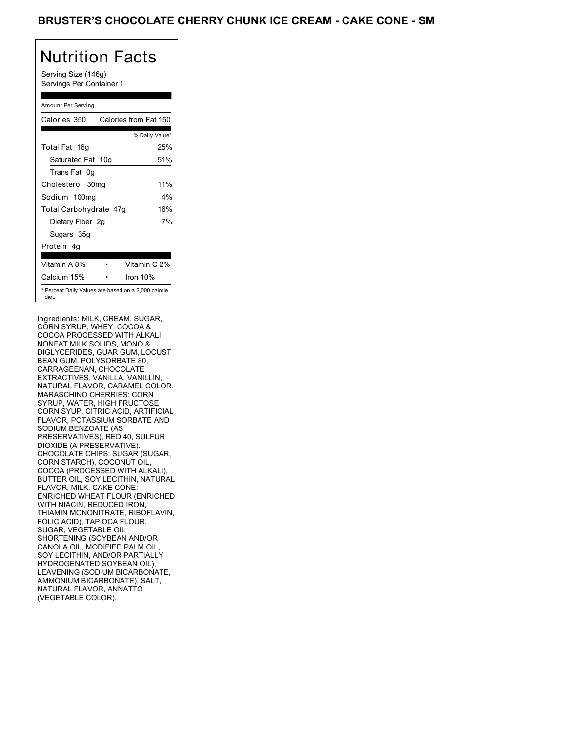Serving Size (146g) Servings Per Container 1

### Amount Per Serving

| Calories 350           | Calories from Fat 150                               |
|------------------------|-----------------------------------------------------|
|                        | % Daily Value*                                      |
| Total Fat 16g          | 25%                                                 |
| Saturated Fat 10g      | 51%                                                 |
| Trans Fat 0q           |                                                     |
| Cholesterol 30mg       | 11%                                                 |
| Sodium 100mg           | $4\%$                                               |
| Total Carbohydrate 47g | 16%                                                 |
| Dietary Fiber 2g       | 7%                                                  |
| Sugars 35g             |                                                     |
| Protein 4q             |                                                     |
| Vitamin A 8%           | Vitamin C 2%                                        |
| Calcium 15%            | Iron $10%$                                          |
| diet.                  | * Percent Daily Values are based on a 2,000 calorie |

Ingredients: MILK, CREAM, SUGAR, CORN SYRUP, WHEY, COCOA & COCOA PROCESSED WITH ALKALI, NONFAT MILK SOLIDS, MONO & DIGLYCERIDES, GUAR GUM, LOCUST BEAN GUM, POLYSORBATE 80, CARRAGEENAN, CHOCOLATE EXTRACTIVES, VANILLA, VANILLIN, NATURAL FLAVOR, CARAMEL COLOR. MARASCHINO CHERRIES: CORN SYRUP, WATER, HIGH FRUCTOSE CORN SYUP, CITRIC ACID, ARTIFICIAL FLAVOR, POTASSIUM SORBATE AND SODIUM BENZOATE (AS PRESERVATIVES), RED 40, SULFUR DIOXIDE (A PRESERVATIVE). CHOCOLATE CHIPS: SUGAR (SUGAR, CORN STARCH), COCONUT OIL, COCOA (PROCESSED WITH ALKALI), BUTTER OIL, SOY LECITHIN, NATURAL FLAVOR, MILK. CAKE CONE: ENRICHED WHEAT FLOUR (ENRICHED WITH NIACIN, REDUCED IRON, THIAMIN MONONITRATE, RIBOFLAVIN, FOLIC ACID), TAPIOCA FLOUR, SUGAR, VEGETABLE OIL SHORTENING (SOYBEAN AND/OR CANOLA OIL, MODIFIED PALM OIL, SOY LECITHIN, AND/OR PARTIALLY HYDROGENATED SOYBEAN OIL), LEAVENING (SODIUM BICARBONATE, AMMONIUM BICARBONATE), SALT, NATURAL FLAVOR, ANNATTO (VEGETABLE COLOR).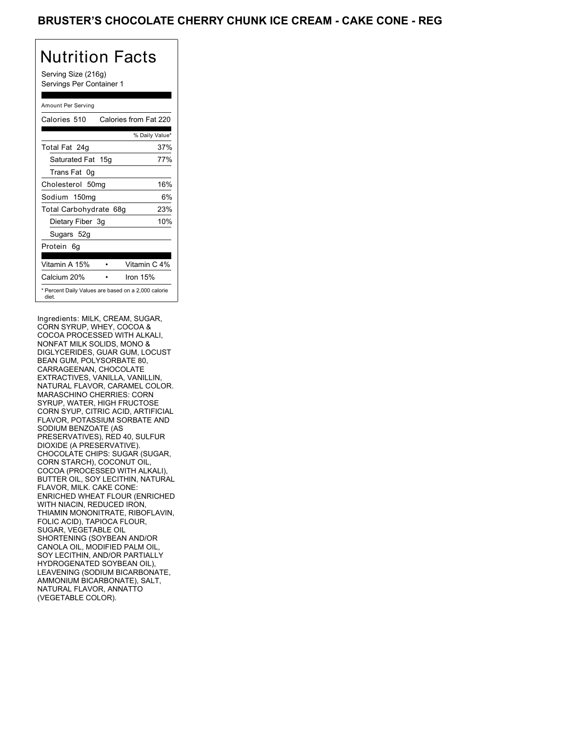Serving Size (216g) Servings Per Container 1

### Amount Per Serving

| Calories 510           | Calories from Fat 220                               |
|------------------------|-----------------------------------------------------|
|                        | % Daily Value*                                      |
| Total Fat 24g          | 37%                                                 |
| Saturated Fat 15g      | 77%                                                 |
| Trans Fat 0q           |                                                     |
| Cholesterol 50mg       | 16%                                                 |
| Sodium 150mg           | 6%                                                  |
| Total Carbohydrate 68g | 23%                                                 |
| Dietary Fiber 3g       | 10%                                                 |
| Sugars 52g             |                                                     |
| Protein 6q             |                                                     |
| Vitamin A 15%          | Vitamin C 4%                                        |
| Calcium 20%            | Iron $15%$                                          |
| diet.                  | * Percent Daily Values are based on a 2,000 calorie |

Ingredients: MILK, CREAM, SUGAR, CORN SYRUP, WHEY, COCOA & COCOA PROCESSED WITH ALKALI, NONFAT MILK SOLIDS, MONO & DIGLYCERIDES, GUAR GUM, LOCUST BEAN GUM, POLYSORBATE 80, CARRAGEENAN, CHOCOLATE EXTRACTIVES, VANILLA, VANILLIN, NATURAL FLAVOR, CARAMEL COLOR. MARASCHINO CHERRIES: CORN SYRUP, WATER, HIGH FRUCTOSE CORN SYUP, CITRIC ACID, ARTIFICIAL FLAVOR, POTASSIUM SORBATE AND SODIUM BENZOATE (AS PRESERVATIVES), RED 40, SULFUR DIOXIDE (A PRESERVATIVE). CHOCOLATE CHIPS: SUGAR (SUGAR, CORN STARCH), COCONUT OIL, COCOA (PROCESSED WITH ALKALI), BUTTER OIL, SOY LECITHIN, NATURAL FLAVOR, MILK. CAKE CONE: ENRICHED WHEAT FLOUR (ENRICHED WITH NIACIN, REDUCED IRON, THIAMIN MONONITRATE, RIBOFLAVIN, FOLIC ACID), TAPIOCA FLOUR, SUGAR, VEGETABLE OIL SHORTENING (SOYBEAN AND/OR CANOLA OIL, MODIFIED PALM OIL, SOY LECITHIN, AND/OR PARTIALLY HYDROGENATED SOYBEAN OIL), LEAVENING (SODIUM BICARBONATE, AMMONIUM BICARBONATE), SALT, NATURAL FLAVOR, ANNATTO (VEGETABLE COLOR).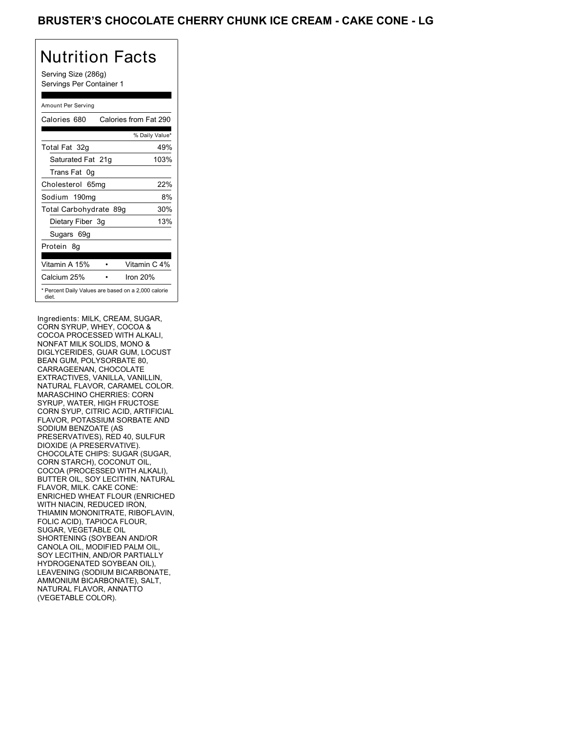Serving Size (286g) Servings Per Container 1

### Amount Per Serving

| Calories 680           | Calories from Fat 290                               |
|------------------------|-----------------------------------------------------|
|                        | % Daily Value*                                      |
| Total Fat 32g          | 49%                                                 |
| Saturated Fat 21g      | 103%                                                |
| Trans Fat 0q           |                                                     |
| Cholesterol 65mg       | 22%                                                 |
| Sodium 190mg           | 8%                                                  |
| Total Carbohydrate 89g | 30%                                                 |
| Dietary Fiber 3g       | 13%                                                 |
| Sugars 69g             |                                                     |
| Protein 8q             |                                                     |
| Vitamin A 15%          | Vitamin C 4%                                        |
| Calcium 25%            | Iron 20%                                            |
| diet.                  | * Percent Daily Values are based on a 2,000 calorie |

Ingredients: MILK, CREAM, SUGAR, CORN SYRUP, WHEY, COCOA & COCOA PROCESSED WITH ALKALI, NONFAT MILK SOLIDS, MONO & DIGLYCERIDES, GUAR GUM, LOCUST BEAN GUM, POLYSORBATE 80, CARRAGEENAN, CHOCOLATE EXTRACTIVES, VANILLA, VANILLIN, NATURAL FLAVOR, CARAMEL COLOR. MARASCHINO CHERRIES: CORN SYRUP, WATER, HIGH FRUCTOSE CORN SYUP, CITRIC ACID, ARTIFICIAL FLAVOR, POTASSIUM SORBATE AND SODIUM BENZOATE (AS PRESERVATIVES), RED 40, SULFUR DIOXIDE (A PRESERVATIVE). CHOCOLATE CHIPS: SUGAR (SUGAR, CORN STARCH), COCONUT OIL, COCOA (PROCESSED WITH ALKALI), BUTTER OIL, SOY LECITHIN, NATURAL FLAVOR, MILK. CAKE CONE: ENRICHED WHEAT FLOUR (ENRICHED WITH NIACIN, REDUCED IRON, THIAMIN MONONITRATE, RIBOFLAVIN, FOLIC ACID), TAPIOCA FLOUR, SUGAR, VEGETABLE OIL SHORTENING (SOYBEAN AND/OR CANOLA OIL, MODIFIED PALM OIL, SOY LECITHIN, AND/OR PARTIALLY HYDROGENATED SOYBEAN OIL), LEAVENING (SODIUM BICARBONATE, AMMONIUM BICARBONATE), SALT, NATURAL FLAVOR, ANNATTO (VEGETABLE COLOR).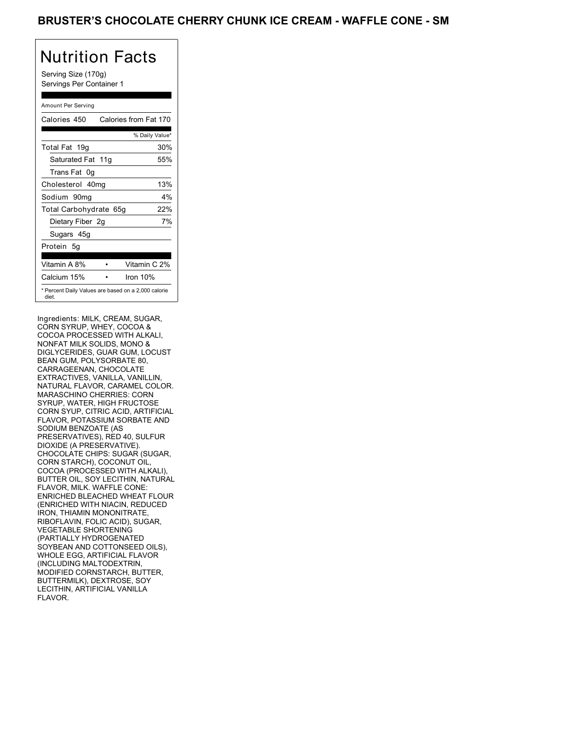Serving Size (170g) Servings Per Container 1

### Amount Per Serving

| Calories 450                                                 | Calories from Fat 170 |
|--------------------------------------------------------------|-----------------------|
|                                                              | % Daily Value*        |
| Total Fat 19g                                                | 30%                   |
| Saturated Fat 11g                                            | 55%                   |
| Trans Fat 0q                                                 |                       |
| Cholesterol 40mg                                             | 13%                   |
| Sodium 90mg                                                  | 4%                    |
| Total Carbohydrate 65g                                       | 22%                   |
| Dietary Fiber 2g                                             | 7%                    |
| Sugars 45g                                                   |                       |
| Protein 5g                                                   |                       |
| Vitamin A 8%                                                 | Vitamin C 2%          |
| Calcium 15%                                                  | Iron 10%              |
| * Percent Daily Values are based on a 2,000 calorie<br>diet. |                       |

Ingredients: MILK, CREAM, SUGAR, CORN SYRUP, WHEY, COCOA & COCOA PROCESSED WITH ALKALI, NONFAT MILK SOLIDS, MONO & DIGLYCERIDES, GUAR GUM, LOCUST BEAN GUM, POLYSORBATE 80, CARRAGEENAN, CHOCOLATE EXTRACTIVES, VANILLA, VANILLIN, NATURAL FLAVOR, CARAMEL COLOR. MARASCHINO CHERRIES: CORN SYRUP, WATER, HIGH FRUCTOSE CORN SYUP, CITRIC ACID, ARTIFICIAL FLAVOR, POTASSIUM SORBATE AND SODIUM BENZOATE (AS PRESERVATIVES), RED 40, SULFUR DIOXIDE (A PRESERVATIVE). CHOCOLATE CHIPS: SUGAR (SUGAR, CORN STARCH), COCONUT OIL, COCOA (PROCESSED WITH ALKALI), BUTTER OIL, SOY LECITHIN, NATURAL FLAVOR, MILK. WAFFLE CONE: ENRICHED BLEACHED WHEAT FLOUR (ENRICHED WITH NIACIN, REDUCED IRON, THIAMIN MONONITRATE, RIBOFLAVIN, FOLIC ACID), SUGAR, VEGETABLE SHORTENING (PARTIALLY HYDROGENATED SOYBEAN AND COTTONSEED OILS), WHOLE EGG, ARTIFICIAL FLAVOR (INCLUDING MALTODEXTRIN, MODIFIED CORNSTARCH, BUTTER, BUTTERMILK), DEXTROSE, SOY LECITHIN, ARTIFICIAL VANILLA FLAVOR.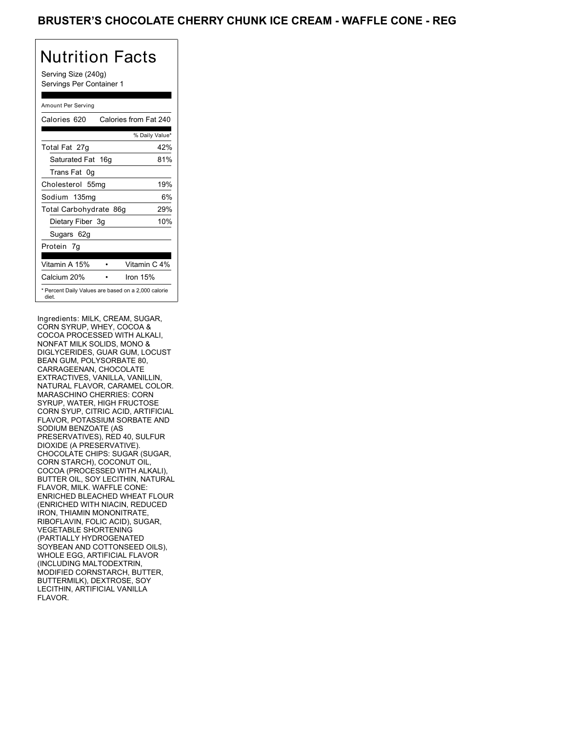Serving Size (240g) Servings Per Container 1

### Amount Per Serving

| Calories 620           | Calories from Fat 240                               |
|------------------------|-----------------------------------------------------|
|                        | % Daily Value*                                      |
| Total Fat 27g          | 42%                                                 |
| Saturated Fat 16g      | 81%                                                 |
| Trans Fat 0q           |                                                     |
| Cholesterol 55mg       | 19%                                                 |
| Sodium 135mg           | 6%                                                  |
| Total Carbohydrate 86g | 29%                                                 |
| Dietary Fiber 3g       | 10%                                                 |
| Sugars 62g             |                                                     |
| Protein 7q             |                                                     |
|                        |                                                     |
| Vitamin A 15%          | Vitamin C 4%                                        |
| Calcium 20%            | Iron $15%$                                          |
| diet.                  | * Percent Daily Values are based on a 2,000 calorie |

Ingredients: MILK, CREAM, SUGAR, CORN SYRUP, WHEY, COCOA & COCOA PROCESSED WITH ALKALI, NONFAT MILK SOLIDS, MONO & DIGLYCERIDES, GUAR GUM, LOCUST BEAN GUM, POLYSORBATE 80, CARRAGEENAN, CHOCOLATE EXTRACTIVES, VANILLA, VANILLIN, NATURAL FLAVOR, CARAMEL COLOR. MARASCHINO CHERRIES: CORN SYRUP, WATER, HIGH FRUCTOSE CORN SYUP, CITRIC ACID, ARTIFICIAL FLAVOR, POTASSIUM SORBATE AND SODIUM BENZOATE (AS PRESERVATIVES), RED 40, SULFUR DIOXIDE (A PRESERVATIVE). CHOCOLATE CHIPS: SUGAR (SUGAR, CORN STARCH), COCONUT OIL, COCOA (PROCESSED WITH ALKALI), BUTTER OIL, SOY LECITHIN, NATURAL FLAVOR, MILK. WAFFLE CONE: ENRICHED BLEACHED WHEAT FLOUR (ENRICHED WITH NIACIN, REDUCED IRON, THIAMIN MONONITRATE, RIBOFLAVIN, FOLIC ACID), SUGAR, VEGETABLE SHORTENING (PARTIALLY HYDROGENATED SOYBEAN AND COTTONSEED OILS), WHOLE EGG, ARTIFICIAL FLAVOR (INCLUDING MALTODEXTRIN, MODIFIED CORNSTARCH, BUTTER, BUTTERMILK), DEXTROSE, SOY LECITHIN, ARTIFICIAL VANILLA FLAVOR.